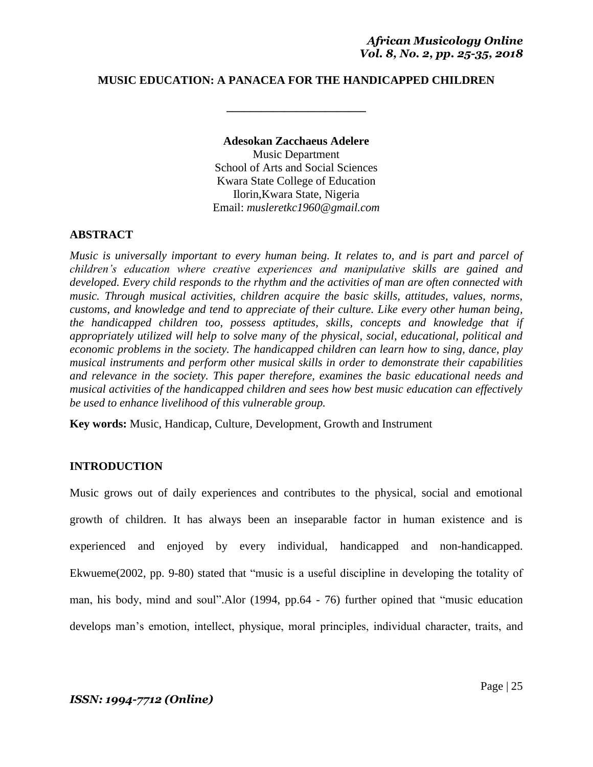## **MUSIC EDUCATION: A PANACEA FOR THE HANDICAPPED CHILDREN**

**\_\_\_\_\_\_\_\_\_\_\_\_\_\_\_\_\_\_\_\_\_\_\_\_**

#### **Adesokan Zacchaeus Adelere**

Music Department School of Arts and Social Sciences Kwara State College of Education Ilorin,Kwara State, Nigeria Email: *musleretkc1960@gmail.com*

#### **ABSTRACT**

*Music is universally important to every human being. It relates to, and is part and parcel of children's education where creative experiences and manipulative skills are gained and developed. Every child responds to the rhythm and the activities of man are often connected with music. Through musical activities, children acquire the basic skills, attitudes, values, norms, customs, and knowledge and tend to appreciate of their culture. Like every other human being, the handicapped children too, possess aptitudes, skills, concepts and knowledge that if appropriately utilized will help to solve many of the physical, social, educational, political and economic problems in the society. The handicapped children can learn how to sing, dance, play musical instruments and perform other musical skills in order to demonstrate their capabilities and relevance in the society. This paper therefore, examines the basic educational needs and musical activities of the handicapped children and sees how best music education can effectively be used to enhance livelihood of this vulnerable group.*

**Key words:** Music, Handicap, Culture, Development, Growth and Instrument

# **INTRODUCTION**

Music grows out of daily experiences and contributes to the physical, social and emotional growth of children. It has always been an inseparable factor in human existence and is experienced and enjoyed by every individual, handicapped and non-handicapped. Ekwueme(2002, pp. 9-80) stated that "music is a useful discipline in developing the totality of man, his body, mind and soul".Alor (1994, pp.64 - 76) further opined that "music education develops man"s emotion, intellect, physique, moral principles, individual character, traits, and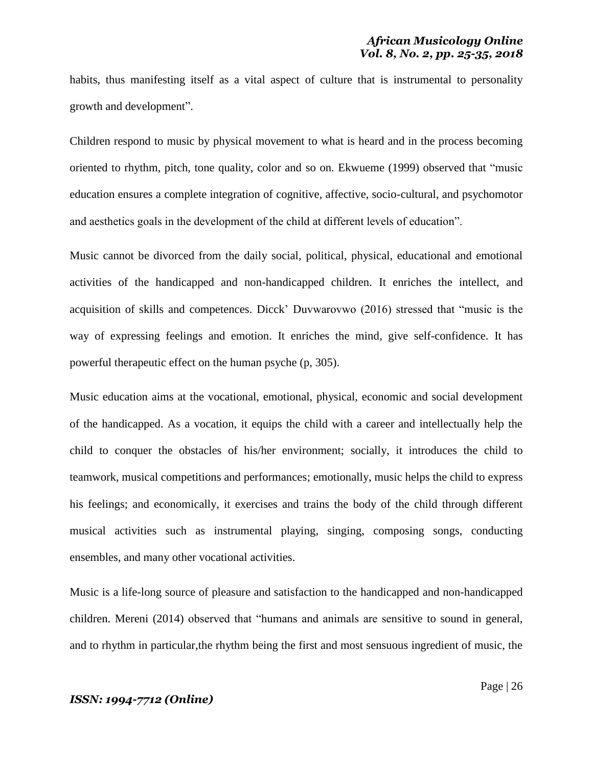habits, thus manifesting itself as a vital aspect of culture that is instrumental to personality growth and development".

Children respond to music by physical movement to what is heard and in the process becoming oriented to rhythm, pitch, tone quality, color and so on. Ekwueme (1999) observed that "music education ensures a complete integration of cognitive, affective, socio-cultural, and psychomotor and aesthetics goals in the development of the child at different levels of education".

Music cannot be divorced from the daily social, political, physical, educational and emotional activities of the handicapped and non-handicapped children. It enriches the intellect, and acquisition of skills and competences. Dicck" Duvwarovwo (2016) stressed that "music is the way of expressing feelings and emotion. It enriches the mind, give self-confidence. It has powerful therapeutic effect on the human psyche (p, 305).

Music education aims at the vocational, emotional, physical, economic and social development of the handicapped. As a vocation, it equips the child with a career and intellectually help the child to conquer the obstacles of his/her environment; socially, it introduces the child to teamwork, musical competitions and performances; emotionally, music helps the child to express his feelings; and economically, it exercises and trains the body of the child through different musical activities such as instrumental playing, singing, composing songs, conducting ensembles, and many other vocational activities.

Music is a life-long source of pleasure and satisfaction to the handicapped and non-handicapped children. Mereni (2014) observed that "humans and animals are sensitive to sound in general, and to rhythm in particular,the rhythm being the first and most sensuous ingredient of music, the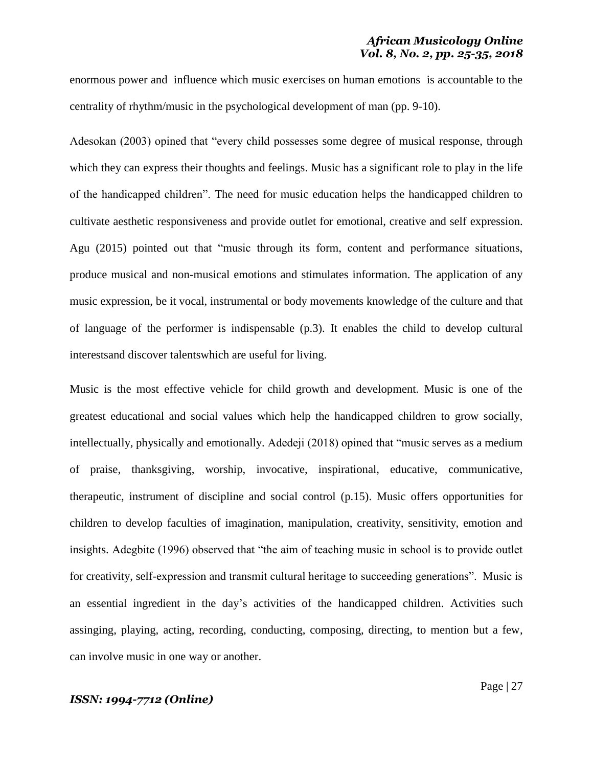#### *African Musicology Online Vol. 8, No. 2, pp. 25-35, 2018*

enormous power and influence which music exercises on human emotions is accountable to the centrality of rhythm/music in the psychological development of man (pp. 9-10).

Adesokan (2003) opined that "every child possesses some degree of musical response, through which they can express their thoughts and feelings. Music has a significant role to play in the life of the handicapped children". The need for music education helps the handicapped children to cultivate aesthetic responsiveness and provide outlet for emotional, creative and self expression. Agu (2015) pointed out that "music through its form, content and performance situations, produce musical and non-musical emotions and stimulates information. The application of any music expression, be it vocal, instrumental or body movements knowledge of the culture and that of language of the performer is indispensable (p.3). It enables the child to develop cultural interestsand discover talentswhich are useful for living.

Music is the most effective vehicle for child growth and development. Music is one of the greatest educational and social values which help the handicapped children to grow socially, intellectually, physically and emotionally. Adedeji (2018) opined that "music serves as a medium of praise, thanksgiving, worship, invocative, inspirational, educative, communicative, therapeutic, instrument of discipline and social control (p.15). Music offers opportunities for children to develop faculties of imagination, manipulation, creativity, sensitivity, emotion and insights. Adegbite (1996) observed that "the aim of teaching music in school is to provide outlet for creativity, self-expression and transmit cultural heritage to succeeding generations". Music is an essential ingredient in the day"s activities of the handicapped children. Activities such assinging, playing, acting, recording, conducting, composing, directing, to mention but a few, can involve music in one way or another.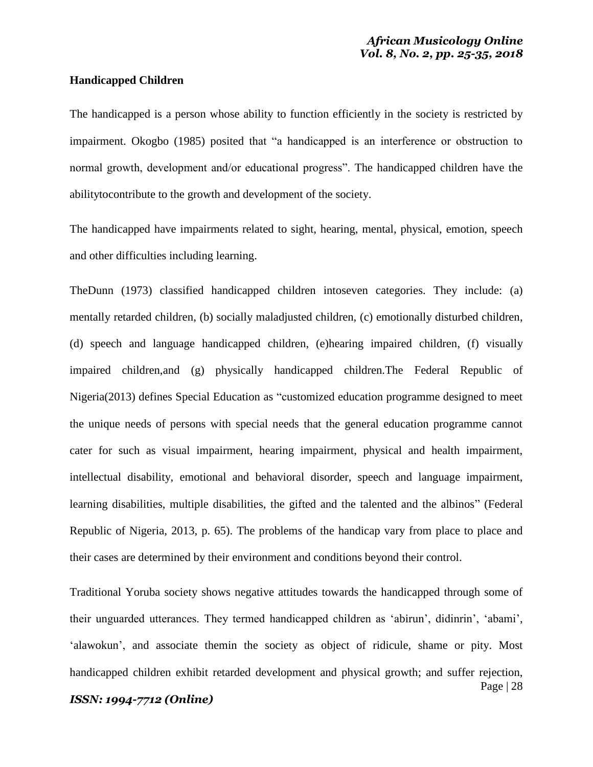#### **Handicapped Children**

The handicapped is a person whose ability to function efficiently in the society is restricted by impairment. Okogbo (1985) posited that "a handicapped is an interference or obstruction to normal growth, development and/or educational progress". The handicapped children have the abilitytocontribute to the growth and development of the society.

The handicapped have impairments related to sight, hearing, mental, physical, emotion, speech and other difficulties including learning.

TheDunn (1973) classified handicapped children intoseven categories. They include: (a) mentally retarded children, (b) socially maladjusted children, (c) emotionally disturbed children, (d) speech and language handicapped children, (e)hearing impaired children, (f) visually impaired children,and (g) physically handicapped children.The Federal Republic of Nigeria(2013) defines Special Education as "customized education programme designed to meet the unique needs of persons with special needs that the general education programme cannot cater for such as visual impairment, hearing impairment, physical and health impairment, intellectual disability, emotional and behavioral disorder, speech and language impairment, learning disabilities, multiple disabilities, the gifted and the talented and the albinos" (Federal Republic of Nigeria, 2013, p. 65). The problems of the handicap vary from place to place and their cases are determined by their environment and conditions beyond their control.

Page | 28 Traditional Yoruba society shows negative attitudes towards the handicapped through some of their unguarded utterances. They termed handicapped children as "abirun", didinrin", "abami", 'alawokun', and associate themin the society as object of ridicule, shame or pity. Most handicapped children exhibit retarded development and physical growth; and suffer rejection,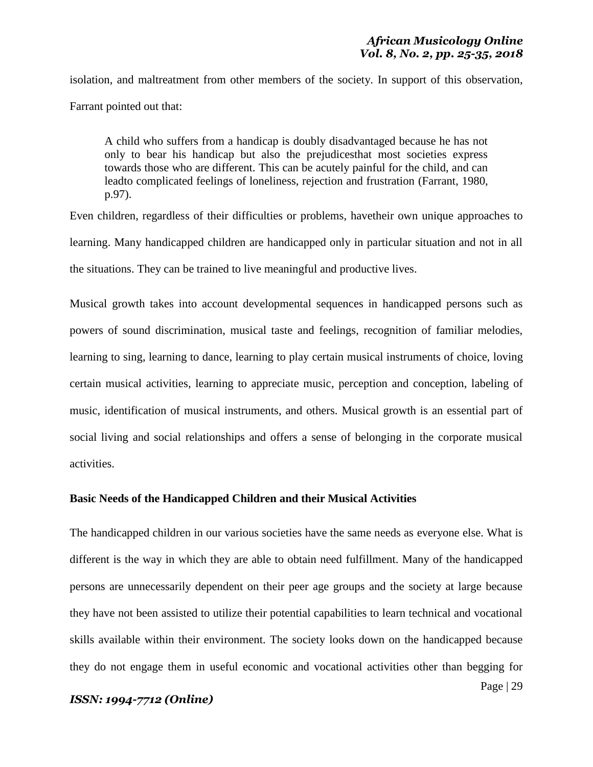isolation, and maltreatment from other members of the society. In support of this observation, Farrant pointed out that:

A child who suffers from a handicap is doubly disadvantaged because he has not only to bear his handicap but also the prejudicesthat most societies express towards those who are different. This can be acutely painful for the child, and can leadto complicated feelings of loneliness, rejection and frustration (Farrant, 1980, p.97).

Even children, regardless of their difficulties or problems, havetheir own unique approaches to learning. Many handicapped children are handicapped only in particular situation and not in all the situations. They can be trained to live meaningful and productive lives.

Musical growth takes into account developmental sequences in handicapped persons such as powers of sound discrimination, musical taste and feelings, recognition of familiar melodies, learning to sing, learning to dance, learning to play certain musical instruments of choice, loving certain musical activities, learning to appreciate music, perception and conception, labeling of music, identification of musical instruments, and others. Musical growth is an essential part of social living and social relationships and offers a sense of belonging in the corporate musical activities.

#### **Basic Needs of the Handicapped Children and their Musical Activities**

The handicapped children in our various societies have the same needs as everyone else. What is different is the way in which they are able to obtain need fulfillment. Many of the handicapped persons are unnecessarily dependent on their peer age groups and the society at large because they have not been assisted to utilize their potential capabilities to learn technical and vocational skills available within their environment. The society looks down on the handicapped because they do not engage them in useful economic and vocational activities other than begging for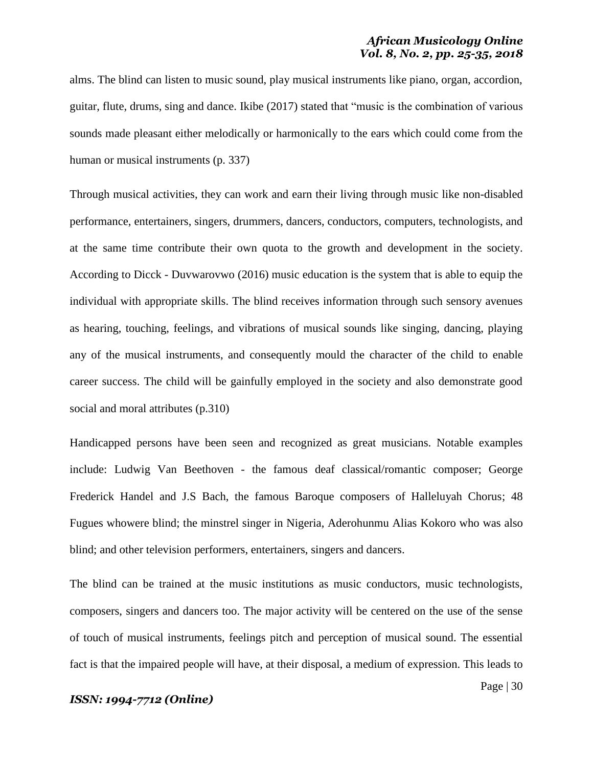alms. The blind can listen to music sound, play musical instruments like piano, organ, accordion, guitar, flute, drums, sing and dance. Ikibe (2017) stated that "music is the combination of various sounds made pleasant either melodically or harmonically to the ears which could come from the human or musical instruments (p. 337)

Through musical activities, they can work and earn their living through music like non-disabled performance, entertainers, singers, drummers, dancers, conductors, computers, technologists, and at the same time contribute their own quota to the growth and development in the society. According to Dicck - Duvwarovwo (2016) music education is the system that is able to equip the individual with appropriate skills. The blind receives information through such sensory avenues as hearing, touching, feelings, and vibrations of musical sounds like singing, dancing, playing any of the musical instruments, and consequently mould the character of the child to enable career success. The child will be gainfully employed in the society and also demonstrate good social and moral attributes (p.310)

Handicapped persons have been seen and recognized as great musicians. Notable examples include: Ludwig Van Beethoven - the famous deaf classical/romantic composer; George Frederick Handel and J.S Bach, the famous Baroque composers of Halleluyah Chorus; 48 Fugues whowere blind; the minstrel singer in Nigeria, Aderohunmu Alias Kokoro who was also blind; and other television performers, entertainers, singers and dancers.

The blind can be trained at the music institutions as music conductors, music technologists, composers, singers and dancers too. The major activity will be centered on the use of the sense of touch of musical instruments, feelings pitch and perception of musical sound. The essential fact is that the impaired people will have, at their disposal, a medium of expression. This leads to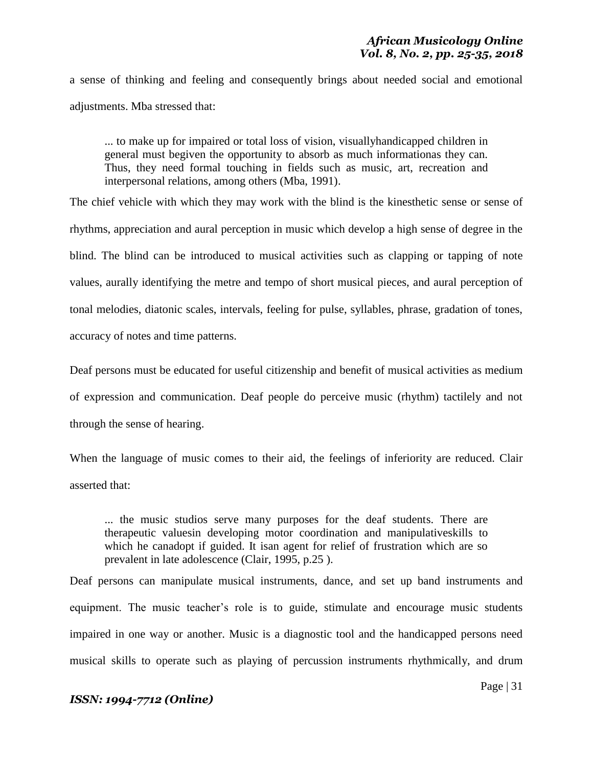a sense of thinking and feeling and consequently brings about needed social and emotional adjustments. Mba stressed that:

... to make up for impaired or total loss of vision, visuallyhandicapped children in general must begiven the opportunity to absorb as much informationas they can. Thus, they need formal touching in fields such as music, art, recreation and interpersonal relations, among others (Mba, 1991).

The chief vehicle with which they may work with the blind is the kinesthetic sense or sense of rhythms, appreciation and aural perception in music which develop a high sense of degree in the blind. The blind can be introduced to musical activities such as clapping or tapping of note values, aurally identifying the metre and tempo of short musical pieces, and aural perception of tonal melodies, diatonic scales, intervals, feeling for pulse, syllables, phrase, gradation of tones, accuracy of notes and time patterns.

Deaf persons must be educated for useful citizenship and benefit of musical activities as medium of expression and communication. Deaf people do perceive music (rhythm) tactilely and not through the sense of hearing.

When the language of music comes to their aid, the feelings of inferiority are reduced. Clair asserted that:

... the music studios serve many purposes for the deaf students. There are therapeutic valuesin developing motor coordination and manipulativeskills to which he canadopt if guided. It isan agent for relief of frustration which are so prevalent in late adolescence (Clair, 1995, p.25 ).

Deaf persons can manipulate musical instruments, dance, and set up band instruments and equipment. The music teacher"s role is to guide, stimulate and encourage music students impaired in one way or another. Music is a diagnostic tool and the handicapped persons need musical skills to operate such as playing of percussion instruments rhythmically, and drum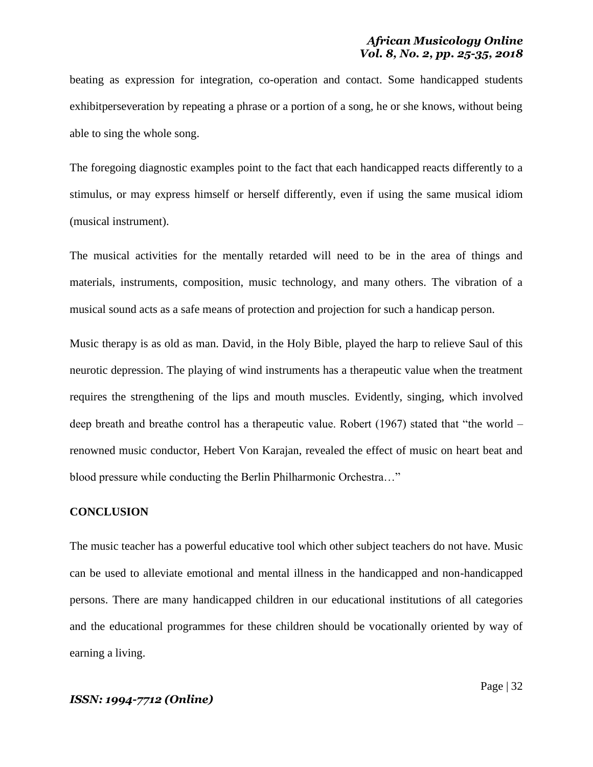beating as expression for integration, co-operation and contact. Some handicapped students exhibitperseveration by repeating a phrase or a portion of a song, he or she knows, without being able to sing the whole song.

The foregoing diagnostic examples point to the fact that each handicapped reacts differently to a stimulus, or may express himself or herself differently, even if using the same musical idiom (musical instrument).

The musical activities for the mentally retarded will need to be in the area of things and materials, instruments, composition, music technology, and many others. The vibration of a musical sound acts as a safe means of protection and projection for such a handicap person.

Music therapy is as old as man. David, in the Holy Bible, played the harp to relieve Saul of this neurotic depression. The playing of wind instruments has a therapeutic value when the treatment requires the strengthening of the lips and mouth muscles. Evidently, singing, which involved deep breath and breathe control has a therapeutic value. Robert (1967) stated that "the world – renowned music conductor, Hebert Von Karajan, revealed the effect of music on heart beat and blood pressure while conducting the Berlin Philharmonic Orchestra…"

#### **CONCLUSION**

The music teacher has a powerful educative tool which other subject teachers do not have. Music can be used to alleviate emotional and mental illness in the handicapped and non-handicapped persons. There are many handicapped children in our educational institutions of all categories and the educational programmes for these children should be vocationally oriented by way of earning a living.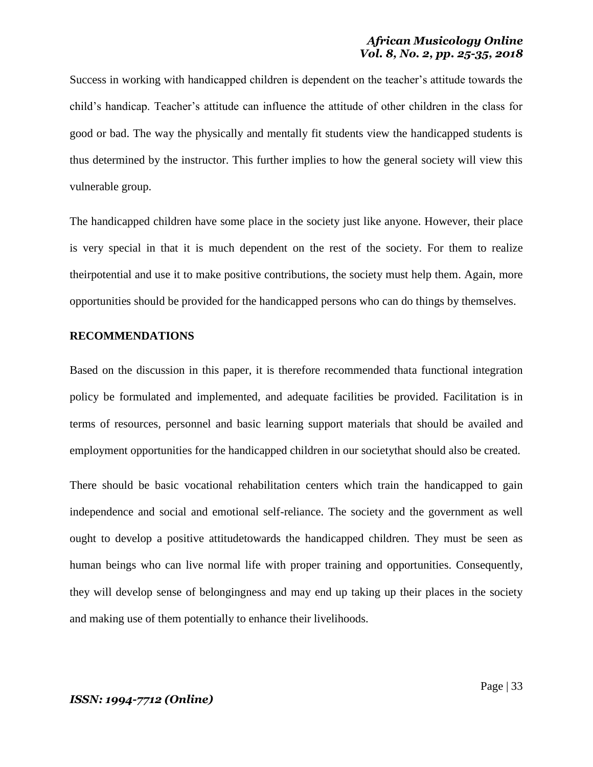Success in working with handicapped children is dependent on the teacher's attitude towards the child"s handicap. Teacher"s attitude can influence the attitude of other children in the class for good or bad. The way the physically and mentally fit students view the handicapped students is thus determined by the instructor. This further implies to how the general society will view this vulnerable group.

The handicapped children have some place in the society just like anyone. However, their place is very special in that it is much dependent on the rest of the society. For them to realize theirpotential and use it to make positive contributions, the society must help them. Again, more opportunities should be provided for the handicapped persons who can do things by themselves.

### **RECOMMENDATIONS**

Based on the discussion in this paper, it is therefore recommended thata functional integration policy be formulated and implemented, and adequate facilities be provided. Facilitation is in terms of resources, personnel and basic learning support materials that should be availed and employment opportunities for the handicapped children in our societythat should also be created.

There should be basic vocational rehabilitation centers which train the handicapped to gain independence and social and emotional self-reliance. The society and the government as well ought to develop a positive attitudetowards the handicapped children. They must be seen as human beings who can live normal life with proper training and opportunities. Consequently, they will develop sense of belongingness and may end up taking up their places in the society and making use of them potentially to enhance their livelihoods.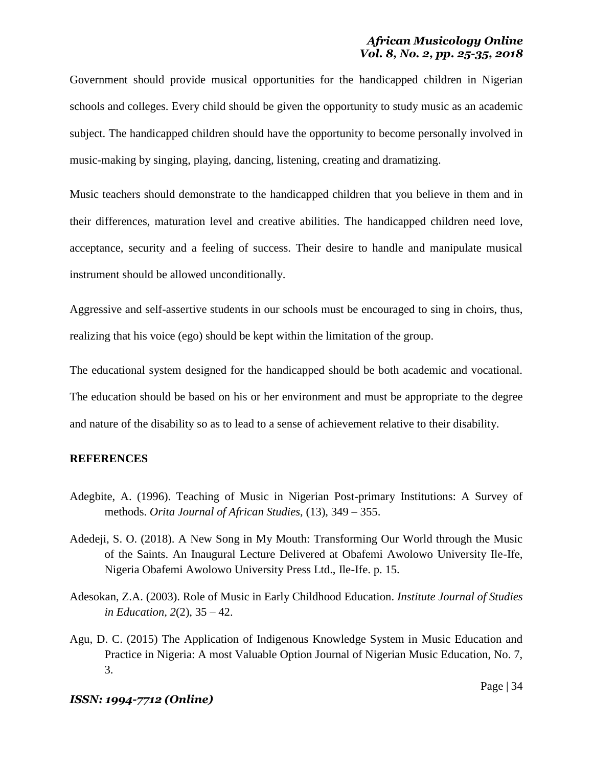## *African Musicology Online Vol. 8, No. 2, pp. 25-35, 2018*

Government should provide musical opportunities for the handicapped children in Nigerian schools and colleges. Every child should be given the opportunity to study music as an academic subject. The handicapped children should have the opportunity to become personally involved in music-making by singing, playing, dancing, listening, creating and dramatizing.

Music teachers should demonstrate to the handicapped children that you believe in them and in their differences, maturation level and creative abilities. The handicapped children need love, acceptance, security and a feeling of success. Their desire to handle and manipulate musical instrument should be allowed unconditionally.

Aggressive and self-assertive students in our schools must be encouraged to sing in choirs, thus, realizing that his voice (ego) should be kept within the limitation of the group.

The educational system designed for the handicapped should be both academic and vocational. The education should be based on his or her environment and must be appropriate to the degree and nature of the disability so as to lead to a sense of achievement relative to their disability.

# **REFERENCES**

- Adegbite, A. (1996). Teaching of Music in Nigerian Post-primary Institutions: A Survey of methods. *Orita Journal of African Studies,* (13), 349 – 355.
- Adedeji, S. O. (2018). A New Song in My Mouth: Transforming Our World through the Music of the Saints. An Inaugural Lecture Delivered at Obafemi Awolowo University Ile-Ife, Nigeria Obafemi Awolowo University Press Ltd., Ile-Ife. p. 15.
- Adesokan, Z.A. (2003). Role of Music in Early Childhood Education. *Institute Journal of Studies in Education, 2*(2), 35 – 42.
- Agu, D. C. (2015) The Application of Indigenous Knowledge System in Music Education and Practice in Nigeria: A most Valuable Option Journal of Nigerian Music Education, No. 7, 3.